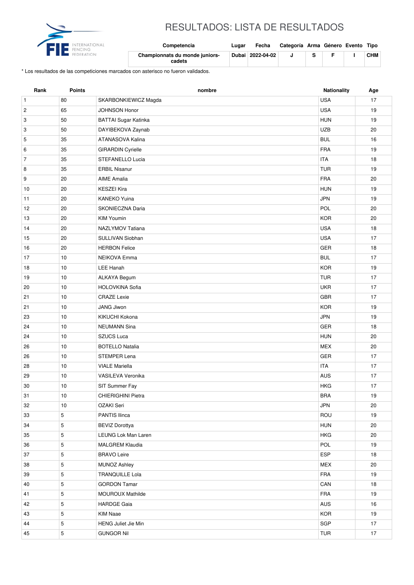

## RESULTADOS: LISTA DE RESULTADOS

| international<br>FENCING | Competencia                              | Lugar | Fecha            | Categoría Arma Género Evento Tipo |  |            |
|--------------------------|------------------------------------------|-------|------------------|-----------------------------------|--|------------|
| $-$ <b>DERATION</b>      | Championnats du monde juniors-<br>cadets |       | Dubai 2022-04-02 |                                   |  | <b>CHM</b> |

\* Los resultados de las competiciones marcados con asterisco no fueron validados.

| Rank           | Points         | nombre                      | <b>Nationality</b> | Age  |
|----------------|----------------|-----------------------------|--------------------|------|
| $\mathbf{1}$   | 80             | SKARBONKIEWICZ Magda        | <b>USA</b>         | 17   |
| $\sqrt{2}$     | 65             | <b>JOHNSON Honor</b>        | <b>USA</b>         | 19   |
| 3              | 50             | <b>BATTAI Sugar Katinka</b> | <b>HUN</b>         | 19   |
| 3              | 50             | DAYIBEKOVA Zaynab           | <b>UZB</b>         | 20   |
| 5              | 35             | ATANASOVA Kalina            | <b>BUL</b>         | 16   |
| 6              | 35             | <b>GIRARDIN Cyrielle</b>    | <b>FRA</b>         | 19   |
| $\overline{7}$ | 35             | STEFANELLO Lucia            | <b>ITA</b>         | 18   |
| 8              | 35             | <b>ERBIL Nisanur</b>        | <b>TUR</b>         | 19   |
| 9              | 20             | <b>AIME Amalia</b>          | <b>FRA</b>         | 20   |
| 10             | 20             | <b>KESZEI Kira</b>          | <b>HUN</b>         | 19   |
| 11             | 20             | <b>KANEKO Yuina</b>         | <b>JPN</b>         | 19   |
| 12             | 20             | SKONIECZNA Daria            | POL                | 20   |
| 13             | 20             | <b>KIM Youmin</b>           | <b>KOR</b>         | 20   |
| 14             | 20             | NAZLYMOV Tatiana            | <b>USA</b>         | 18   |
| 15             | 20             | SULLIVAN Siobhan            | <b>USA</b>         | 17   |
| 16             | 20             | <b>HERBON Felice</b>        | GER                | 18   |
| 17             | 10             | <b>NEIKOVA Emma</b>         | <b>BUL</b>         | 17   |
| 18             | 10             | LEE Hanah                   | <b>KOR</b>         | 19   |
| 19             | 10             | ALKAYA Begum                | <b>TUR</b>         | 17   |
| 20             | 10             | <b>HOLOVKINA Sofia</b>      | <b>UKR</b>         | 17   |
| 21             | 10             | <b>CRAZE Lexie</b>          | GBR                | 17   |
| 21             | 10             | JANG Jiwon                  | <b>KOR</b>         | 19   |
| 23             | 10             | KIKUCHI Kokona              | <b>JPN</b>         | 19   |
| 24             | 10             | <b>NEUMANN Sina</b>         | GER                | 18   |
| 24             | 10             | <b>SZUCS Luca</b>           | <b>HUN</b>         | 20   |
| 26             | 10             | <b>BOTELLO Natalia</b>      | <b>MEX</b>         | 20   |
| 26             | 10             | <b>STEMPER Lena</b>         | GER                | 17   |
| 28             | 10             | <b>VIALE Mariella</b>       | <b>ITA</b>         | 17   |
| 29             | 10             | VASILEVA Veronika           | AUS                | 17   |
| 30             | 10             | SIT Summer Fay              | <b>HKG</b>         | 17   |
| 31             | $10$           | CHIERIGHINI Pietra          | <b>BRA</b>         | $19$ |
| 32             | 10             | OZAKI Seri                  | JPN                | 20   |
| 33             | 5              | PANTIS Ilinca               | ROU                | 19   |
| 34             | $\,$ 5 $\,$    | <b>BEVIZ Dorottya</b>       | <b>HUN</b>         | 20   |
| 35             | 5              | LEUNG Lok Man Laren         | <b>HKG</b>         | 20   |
| 36             | 5              | <b>MALGREM Klaudia</b>      | <b>POL</b>         | 19   |
| 37             | $\overline{5}$ | <b>BRAVO Leire</b>          | ESP                | 18   |
| 38             | 5              | <b>MUNOZ Ashley</b>         | <b>MEX</b>         | 20   |
| 39             | $\sqrt{5}$     | <b>TRANQUILLE Lola</b>      | <b>FRA</b>         | 19   |
| 40             | 5              | <b>GORDON Tamar</b>         | CAN                | 18   |
| 41             | 5              | MOUROUX Mathilde            | <b>FRA</b>         | 19   |
| 42             | $\,$ 5 $\,$    | <b>HARDGE Gaia</b>          | AUS                | 16   |
| 43             | 5              | KIM Naae                    | KOR                | 19   |
| 44             | $\,$ 5 $\,$    | HENG Juliet Jie Min         | SGP                | 17   |
| 45             | 5              | <b>GUNGOR Nil</b>           | <b>TUR</b>         | 17   |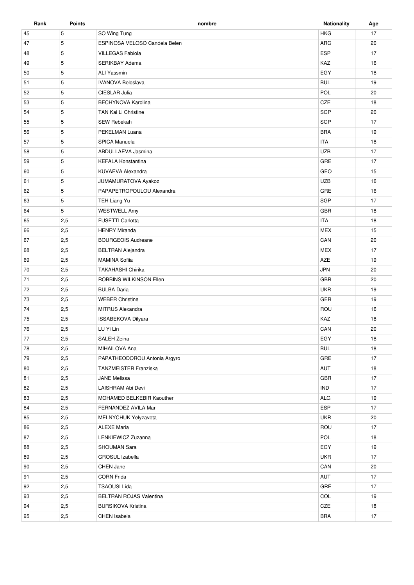| Rank | <b>Points</b> | nombre                        | <b>Nationality</b> | Age |
|------|---------------|-------------------------------|--------------------|-----|
| 45   | 5             | SO Wing Tung                  | <b>HKG</b>         | 17  |
| 47   | 5             | ESPINOSA VELOSO Candela Belen | ARG                | 20  |
| 48   | 5             | <b>VILLEGAS Fabiola</b>       | <b>ESP</b>         | 17  |
| 49   | 5             | <b>SERIKBAY Adema</b>         | KAZ                | 16  |
| 50   | 5             | <b>ALI Yassmin</b>            | EGY                | 18  |
| 51   | 5             | <b>IVANOVA Beloslava</b>      | <b>BUL</b>         | 19  |
| 52   | 5             | CIESLAR Julia                 | POL                | 20  |
| 53   | 5             | <b>BECHYNOVA Karolina</b>     | CZE                | 18  |
| 54   | 5             | TAN Kai Li Christine          | SGP                | 20  |
| 55   | 5             | SEW Rebekah                   | SGP                | 17  |
| 56   | 5             | PEKELMAN Luana                | <b>BRA</b>         | 19  |
| 57   | 5             | <b>SPICA Manuela</b>          | <b>ITA</b>         | 18  |
| 58   | 5             | ABDULLAEVA Jasmina            | <b>UZB</b>         | 17  |
| 59   | 5             | <b>KEFALA Konstantina</b>     | GRE                | 17  |
| 60   | 5             | KUVAEVA Alexandra             | GEO                | 15  |
| 61   | 5             | JUMAMURATOVA Ayakoz           | <b>UZB</b>         | 16  |
| 62   | 5             | PAPAPETROPOULOU Alexandra     | GRE                | 16  |
| 63   | 5             | TEH Liang Yu                  | SGP                | 17  |
| 64   | 5             | <b>WESTWELL Amy</b>           | GBR                | 18  |
| 65   | 2,5           | <b>FUSETTI Carlotta</b>       | <b>ITA</b>         | 18  |
| 66   | 2,5           | <b>HENRY Miranda</b>          | <b>MEX</b>         | 15  |
| 67   | 2,5           | <b>BOURGEOIS Audreane</b>     | CAN                | 20  |
| 68   | 2,5           | <b>BELTRAN Alejandra</b>      | <b>MEX</b>         | 17  |
| 69   | 2,5           | <b>MAMINA Sofiia</b>          | AZE                | 19  |
| 70   | 2,5           | <b>TAKAHASHI Chirika</b>      | <b>JPN</b>         | 20  |
| 71   | 2,5           | ROBBINS WILKINSON Ellen       | <b>GBR</b>         | 20  |
| 72   | 2,5           | <b>BULBA Daria</b>            | <b>UKR</b>         | 19  |
| 73   | 2,5           | <b>WEBER Christine</b>        | GER                | 19  |
| 74   | 2,5           | <b>MITRUS Alexandra</b>       | ROU                | 16  |
| 75   | 2,5           | ISSABEKOVA Dilyara            | KAZ                | 18  |
| 76   | 2,5           | LU Yi Lin                     | CAN                | 20  |
| 77   | 2,5           | SALEH Zeina                   | EGY                | 18  |
| 78   | 2,5           | MIHAILOVA Ana                 | <b>BUL</b>         | 18  |
| 79   | 2,5           | PAPATHEODOROU Antonia Argyro  | GRE                | 17  |
| 80   | 2,5           | TANZMEISTER Franziska         | AUT                | 18  |
| 81   | 2,5           | <b>JANE Melissa</b>           | GBR                | 17  |
| 82   | 2,5           | LAISHRAM Abi Devi             | <b>IND</b>         | 17  |
| 83   | 2,5           | MOHAMED BELKEBIR Kaouther     | <b>ALG</b>         | 19  |
| 84   | 2,5           | FERNANDEZ AVILA Mar           | ESP                | 17  |
| 85   | 2,5           | MELNYCHUK Yelyzaveta          | <b>UKR</b>         | 20  |
| 86   | 2,5           | <b>ALEXE Maria</b>            | ROU                | 17  |
| 87   | 2,5           | LENKIEWICZ Zuzanna            | POL                | 18  |
| 88   | 2,5           | SHOUMAN Sara                  | EGY                | 19  |
| 89   | 2,5           | GROSUL Izabella               | <b>UKR</b>         | 17  |
| 90   | 2,5           | CHEN Jane                     | CAN                | 20  |
| 91   | 2,5           | <b>CORN Frida</b>             | AUT                | 17  |
| 92   | 2,5           | <b>TSAOUSI Lida</b>           | GRE                | 17  |
| 93   | 2,5           | BELTRAN ROJAS Valentina       | COL                | 19  |
| 94   | 2,5           | <b>BURSIKOVA Kristina</b>     | CZE                | 18  |
| 95   | 2,5           | CHEN Isabela                  | <b>BRA</b>         | 17  |
|      |               |                               |                    |     |